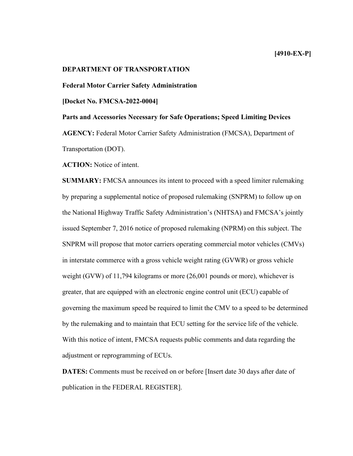# **DEPARTMENT OF TRANSPORTATION**

**Federal Motor Carrier Safety Administration**

**[Docket No. FMCSA-2022-0004]** 

**Parts and Accessories Necessary for Safe Operations; Speed Limiting Devices**

**AGENCY:** Federal Motor Carrier Safety Administration (FMCSA), Department of Transportation (DOT).

**ACTION:** Notice of intent.

**SUMMARY:** FMCSA announces its intent to proceed with a speed limiter rulemaking by preparing a supplemental notice of proposed rulemaking (SNPRM) to follow up on the National Highway Traffic Safety Administration's (NHTSA) and FMCSA's jointly issued September 7, 2016 notice of proposed rulemaking (NPRM) on this subject. The SNPRM will propose that motor carriers operating commercial motor vehicles (CMVs) in interstate commerce with a gross vehicle weight rating (GVWR) or gross vehicle weight (GVW) of 11,794 kilograms or more (26,001 pounds or more), whichever is greater, that are equipped with an electronic engine control unit (ECU) capable of governing the maximum speed be required to limit the CMV to a speed to be determined by the rulemaking and to maintain that ECU setting for the service life of the vehicle. With this notice of intent, FMCSA requests public comments and data regarding the adjustment or reprogramming of ECUs.

**DATES:** Comments must be received on or before [Insert date 30 days after date of publication in the FEDERAL REGISTER].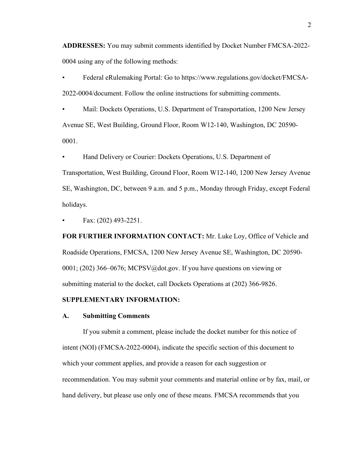**ADDRESSES:** You may submit comments identified by Docket Number FMCSA*-*2022- 0004 using any of the following methods:

• Federal eRulemaking Portal: Go to https://www.regulations.gov/docket/FMCSA-2022-0004/document. Follow the online instructions for submitting comments.

• Mail: Dockets Operations, U.S. Department of Transportation, 1200 New Jersey Avenue SE, West Building, Ground Floor, Room W12-140, Washington, DC 20590- 0001.

• Hand Delivery or Courier: Dockets Operations, U.S. Department of

Transportation, West Building, Ground Floor, Room W12-140, 1200 New Jersey Avenue SE, Washington, DC, between 9 a.m. and 5 p.m., Monday through Friday, except Federal holidays.

• Fax: (202) 493-2251.

**FOR FURTHER INFORMATION CONTACT:** Mr. Luke Loy, Office of Vehicle and Roadside Operations, FMCSA, 1200 New Jersey Avenue SE, Washington, DC 20590- 0001; (202) 366–0676; MCPSV@dot.gov. If you have questions on viewing or submitting material to the docket, call Dockets Operations at (202) 366-9826.

# **SUPPLEMENTARY INFORMATION:**

#### **A. Submitting Comments**

If you submit a comment, please include the docket number for this notice of intent (NOI) (FMCSA-2022-0004), indicate the specific section of this document to which your comment applies, and provide a reason for each suggestion or recommendation. You may submit your comments and material online or by fax, mail, or hand delivery, but please use only one of these means. FMCSA recommends that you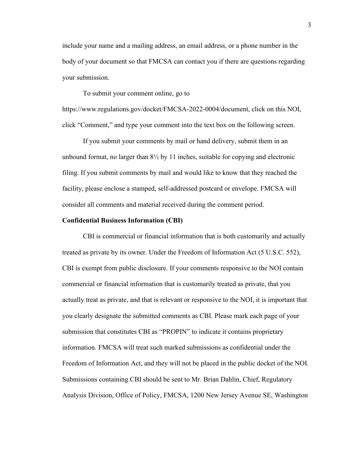include your name and a mailing address, an email address, or a phone number in the body of your document so that FMCSA can contact you if there are questions regarding your submission.

To submit your comment online, go to

https://www.regulations.gov/docket/FMCSA-2022-0004/document, click on this NOI, click "Comment," and type your comment into the text box on the following screen.

If you submit your comments by mail or hand delivery, submit them in an unbound format, no larger than  $8\frac{1}{2}$  by 11 inches, suitable for copying and electronic filing. If you submit comments by mail and would like to know that they reached the facility, please enclose a stamped, self-addressed postcard or envelope. FMCSA will consider all comments and material received during the comment period.

#### **Confidential Business Information (CBI)**

CBI is commercial or financial information that is both customarily and actually treated as private by its owner. Under the Freedom of Information Act (5 U.S.C. 552), CBI is exempt from public disclosure. If your comments responsive to the NOI contain commercial or financial information that is customarily treated as private, that you actually treat as private, and that is relevant or responsive to the NOI, it is important that you clearly designate the submitted comments as CBI. Please mark each page of your submission that constitutes CBI as "PROPIN" to indicate it contains proprietary information. FMCSA will treat such marked submissions as confidential under the Freedom of Information Act, and they will not be placed in the public docket of the NOI. Submissions containing CBI should be sent to Mr. Brian Dahlin, Chief, Regulatory Analysis Division, Office of Policy, FMCSA, 1200 New Jersey Avenue SE, Washington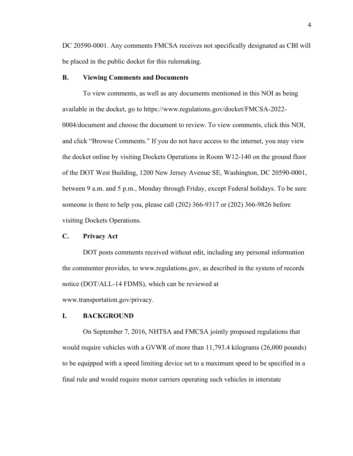DC 20590-0001. Any comments FMCSA receives not specifically designated as CBI will be placed in the public docket for this rulemaking.

### **B. Viewing Comments and Documents**

To view comments, as well as any documents mentioned in this NOI as being available in the docket, go to https://www.regulations.gov/docket/FMCSA-2022- 0004/document and choose the document to review. To view comments, click this NOI, and click "Browse Comments." If you do not have access to the internet, you may view the docket online by visiting Dockets Operations in Room W12-140 on the ground floor of the DOT West Building, 1200 New Jersey Avenue SE, Washington, DC 20590-0001, between 9 a.m. and 5 p.m., Monday through Friday, except Federal holidays. To be sure someone is there to help you, please call (202) 366-9317 or (202) 366-9826 before visiting Dockets Operations.

### **C. Privacy Act**

DOT posts comments received without edit, including any personal information the commenter provides, to www.regulations.gov, as described in the system of records notice (DOT/ALL-14 FDMS), which can be reviewed at www.transportation.gov/privacy.

#### **I. BACKGROUND**

On September 7, 2016, NHTSA and FMCSA jointly proposed regulations that would require vehicles with a GVWR of more than 11,793.4 kilograms (26,000 pounds) to be equipped with a speed limiting device set to a maximum speed to be specified in a final rule and would require motor carriers operating such vehicles in interstate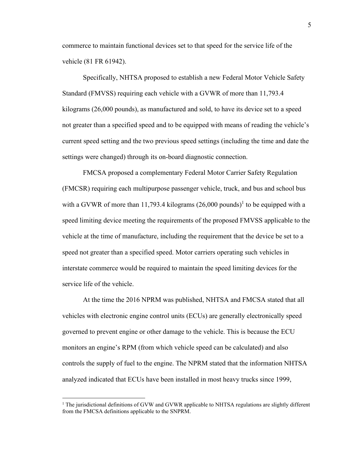commerce to maintain functional devices set to that speed for the service life of the vehicle (81 FR 61942).

Specifically, NHTSA proposed to establish a new Federal Motor Vehicle Safety Standard (FMVSS) requiring each vehicle with a GVWR of more than 11,793.4 kilograms (26,000 pounds), as manufactured and sold, to have its device set to a speed not greater than a specified speed and to be equipped with means of reading the vehicle's current speed setting and the two previous speed settings (including the time and date the settings were changed) through its on-board diagnostic connection.

FMCSA proposed a complementary Federal Motor Carrier Safety Regulation (FMCSR) requiring each multipurpose passenger vehicle, truck, and bus and school bus with a GVWR of more than 11,793.4 kilograms  $(26,000 \text{ pounds})$ <sup>1</sup> to be equipped with a speed limiting device meeting the requirements of the proposed FMVSS applicable to the vehicle at the time of manufacture, including the requirement that the device be set to a speed not greater than a specified speed. Motor carriers operating such vehicles in interstate commerce would be required to maintain the speed limiting devices for the service life of the vehicle.

At the time the 2016 NPRM was published, NHTSA and FMCSA stated that all vehicles with electronic engine control units (ECUs) are generally electronically speed governed to prevent engine or other damage to the vehicle. This is because the ECU monitors an engine's RPM (from which vehicle speed can be calculated) and also controls the supply of fuel to the engine. The NPRM stated that the information NHTSA analyzed indicated that ECUs have been installed in most heavy trucks since 1999,

 $1$  The jurisdictional definitions of GVW and GVWR applicable to NHTSA regulations are slightly different from the FMCSA definitions applicable to the SNPRM.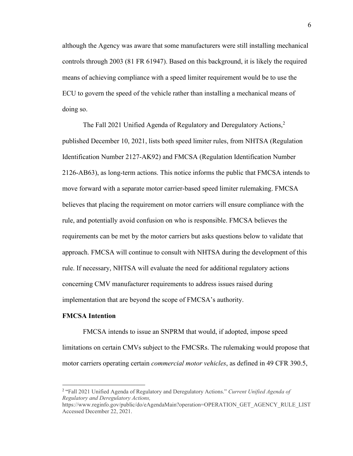although the Agency was aware that some manufacturers were still installing mechanical controls through 2003 (81 FR 61947). Based on this background, it is likely the required means of achieving compliance with a speed limiter requirement would be to use the ECU to govern the speed of the vehicle rather than installing a mechanical means of doing so.

The Fall 2021 Unified Agenda of Regulatory and Deregulatory Actions,<sup>2</sup> published December 10, 2021, lists both speed limiter rules, from NHTSA (Regulation Identification Number 2127-AK92) and FMCSA (Regulation Identification Number 2126-AB63), as long-term actions. This notice informs the public that FMCSA intends to move forward with a separate motor carrier-based speed limiter rulemaking. FMCSA believes that placing the requirement on motor carriers will ensure compliance with the rule, and potentially avoid confusion on who is responsible. FMCSA believes the requirements can be met by the motor carriers but asks questions below to validate that approach. FMCSA will continue to consult with NHTSA during the development of this rule. If necessary, NHTSA will evaluate the need for additional regulatory actions concerning CMV manufacturer requirements to address issues raised during implementation that are beyond the scope of FMCSA's authority.

#### **FMCSA Intention**

FMCSA intends to issue an SNPRM that would, if adopted, impose speed limitations on certain CMVs subject to the FMCSRs. The rulemaking would propose that motor carriers operating certain *commercial motor vehicles*, as defined in 49 CFR 390.5,

<sup>2</sup> "Fall 2021 Unified Agenda of Regulatory and Deregulatory Actions." *Current Unified Agenda of Regulatory and Deregulatory Actions,* 

https://www.reginfo.gov/public/do/eAgendaMain?operation=OPERATION\_GET\_AGENCY\_RULE\_LIST Accessed December 22, 2021.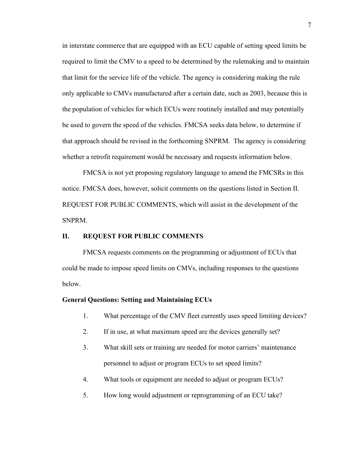in interstate commerce that are equipped with an ECU capable of setting speed limits be required to limit the CMV to a speed to be determined by the rulemaking and to maintain that limit for the service life of the vehicle. The agency is considering making the rule only applicable to CMVs manufactured after a certain date, such as 2003, because this is the population of vehicles for which ECUs were routinely installed and may potentially be used to govern the speed of the vehicles. FMCSA seeks data below, to determine if that approach should be revised in the forthcoming SNPRM. The agency is considering whether a retrofit requirement would be necessary and requests information below.

FMCSA is not yet proposing regulatory language to amend the FMCSRs in this notice. FMCSA does, however, solicit comments on the questions listed in Section II. REQUEST FOR PUBLIC COMMENTS, which will assist in the development of the SNPRM.

# **II. REQUEST FOR PUBLIC COMMENTS**

FMCSA requests comments on the programming or adjustment of ECUs that could be made to impose speed limits on CMVs, including responses to the questions below.

### **General Questions: Setting and Maintaining ECUs**

- 1. What percentage of the CMV fleet currently uses speed limiting devices?
- 2. If in use, at what maximum speed are the devices generally set?
- 3. What skill sets or training are needed for motor carriers' maintenance personnel to adjust or program ECUs to set speed limits?
- 4. What tools or equipment are needed to adjust or program ECUs?
- 5. How long would adjustment or reprogramming of an ECU take?